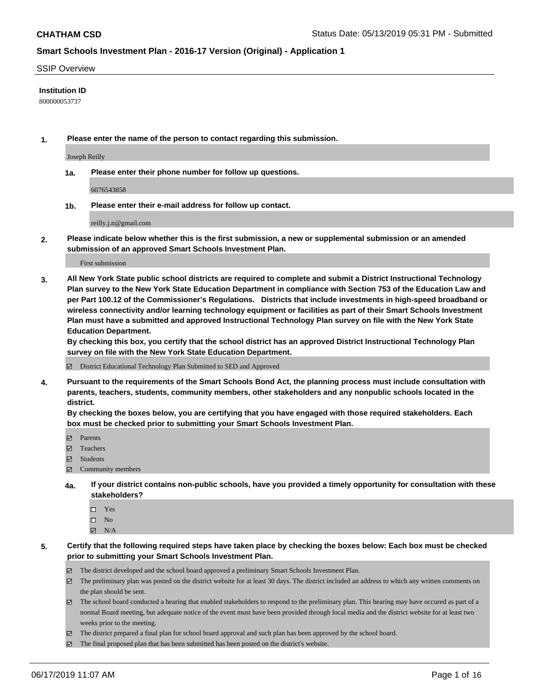#### SSIP Overview

### **Institution ID**

800000053737

**1. Please enter the name of the person to contact regarding this submission.**

Joseph Reilly

**1a. Please enter their phone number for follow up questions.**

6076543858

**1b. Please enter their e-mail address for follow up contact.**

reilly.j.n@gmail.com

**2. Please indicate below whether this is the first submission, a new or supplemental submission or an amended submission of an approved Smart Schools Investment Plan.**

First submission

**3. All New York State public school districts are required to complete and submit a District Instructional Technology Plan survey to the New York State Education Department in compliance with Section 753 of the Education Law and per Part 100.12 of the Commissioner's Regulations. Districts that include investments in high-speed broadband or wireless connectivity and/or learning technology equipment or facilities as part of their Smart Schools Investment Plan must have a submitted and approved Instructional Technology Plan survey on file with the New York State Education Department.** 

**By checking this box, you certify that the school district has an approved District Instructional Technology Plan survey on file with the New York State Education Department.**

District Educational Technology Plan Submitted to SED and Approved

**4. Pursuant to the requirements of the Smart Schools Bond Act, the planning process must include consultation with parents, teachers, students, community members, other stakeholders and any nonpublic schools located in the district.** 

**By checking the boxes below, you are certifying that you have engaged with those required stakeholders. Each box must be checked prior to submitting your Smart Schools Investment Plan.**

- Parents
- Teachers
- Students
- Community members
- **4a. If your district contains non-public schools, have you provided a timely opportunity for consultation with these stakeholders?**
	- □ Yes
	- $\square$  No
	- $N/A$

**5. Certify that the following required steps have taken place by checking the boxes below: Each box must be checked prior to submitting your Smart Schools Investment Plan.**

- The district developed and the school board approved a preliminary Smart Schools Investment Plan.
- $\boxtimes$  The preliminary plan was posted on the district website for at least 30 days. The district included an address to which any written comments on the plan should be sent.
- $\boxtimes$  The school board conducted a hearing that enabled stakeholders to respond to the preliminary plan. This hearing may have occured as part of a normal Board meeting, but adequate notice of the event must have been provided through local media and the district website for at least two weeks prior to the meeting.
- The district prepared a final plan for school board approval and such plan has been approved by the school board.
- $\boxtimes$  The final proposed plan that has been submitted has been posted on the district's website.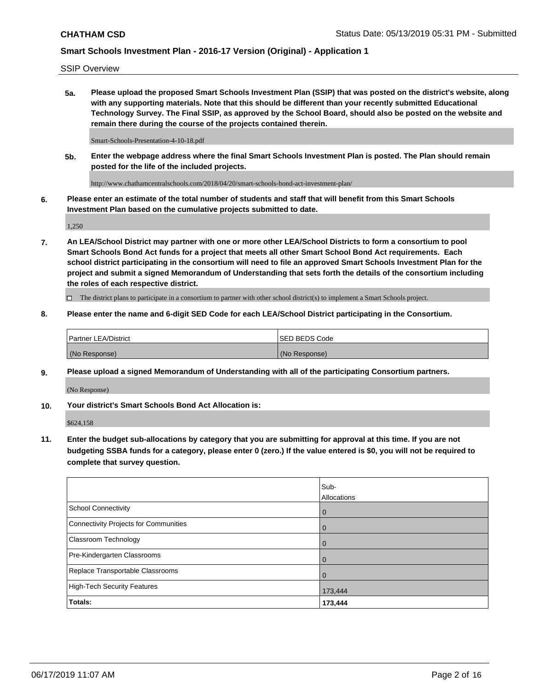SSIP Overview

**5a. Please upload the proposed Smart Schools Investment Plan (SSIP) that was posted on the district's website, along with any supporting materials. Note that this should be different than your recently submitted Educational Technology Survey. The Final SSIP, as approved by the School Board, should also be posted on the website and remain there during the course of the projects contained therein.**

Smart-Schools-Presentation-4-10-18.pdf

**5b. Enter the webpage address where the final Smart Schools Investment Plan is posted. The Plan should remain posted for the life of the included projects.**

http://www.chathamcentralschools.com/2018/04/20/smart-schools-bond-act-investment-plan/

**6. Please enter an estimate of the total number of students and staff that will benefit from this Smart Schools Investment Plan based on the cumulative projects submitted to date.**

1,250

**7. An LEA/School District may partner with one or more other LEA/School Districts to form a consortium to pool Smart Schools Bond Act funds for a project that meets all other Smart School Bond Act requirements. Each school district participating in the consortium will need to file an approved Smart Schools Investment Plan for the project and submit a signed Memorandum of Understanding that sets forth the details of the consortium including the roles of each respective district.**

 $\Box$  The district plans to participate in a consortium to partner with other school district(s) to implement a Smart Schools project.

### **8. Please enter the name and 6-digit SED Code for each LEA/School District participating in the Consortium.**

| Partner LEA/District | <b>ISED BEDS Code</b> |
|----------------------|-----------------------|
| (No Response)        | (No Response)         |

#### **9. Please upload a signed Memorandum of Understanding with all of the participating Consortium partners.**

(No Response)

**10. Your district's Smart Schools Bond Act Allocation is:**

\$624,158

**11. Enter the budget sub-allocations by category that you are submitting for approval at this time. If you are not budgeting SSBA funds for a category, please enter 0 (zero.) If the value entered is \$0, you will not be required to complete that survey question.**

|                                       | Sub-<br>Allocations |
|---------------------------------------|---------------------|
| School Connectivity                   | $\overline{0}$      |
| Connectivity Projects for Communities | $\overline{0}$      |
| <b>Classroom Technology</b>           | $\overline{0}$      |
| Pre-Kindergarten Classrooms           | $\Omega$            |
| Replace Transportable Classrooms      | $\mathbf 0$         |
| High-Tech Security Features           | 173,444             |
| Totals:                               | 173,444             |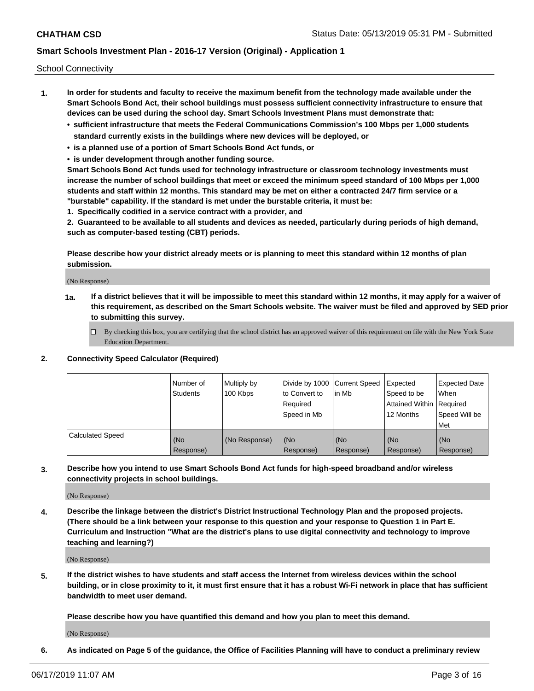School Connectivity

- **1. In order for students and faculty to receive the maximum benefit from the technology made available under the Smart Schools Bond Act, their school buildings must possess sufficient connectivity infrastructure to ensure that devices can be used during the school day. Smart Schools Investment Plans must demonstrate that:**
	- **• sufficient infrastructure that meets the Federal Communications Commission's 100 Mbps per 1,000 students standard currently exists in the buildings where new devices will be deployed, or**
	- **• is a planned use of a portion of Smart Schools Bond Act funds, or**
	- **• is under development through another funding source.**

**Smart Schools Bond Act funds used for technology infrastructure or classroom technology investments must increase the number of school buildings that meet or exceed the minimum speed standard of 100 Mbps per 1,000 students and staff within 12 months. This standard may be met on either a contracted 24/7 firm service or a "burstable" capability. If the standard is met under the burstable criteria, it must be:**

**1. Specifically codified in a service contract with a provider, and**

**2. Guaranteed to be available to all students and devices as needed, particularly during periods of high demand, such as computer-based testing (CBT) periods.**

**Please describe how your district already meets or is planning to meet this standard within 12 months of plan submission.**

(No Response)

**1a. If a district believes that it will be impossible to meet this standard within 12 months, it may apply for a waiver of this requirement, as described on the Smart Schools website. The waiver must be filed and approved by SED prior to submitting this survey.**

 $\Box$  By checking this box, you are certifying that the school district has an approved waiver of this requirement on file with the New York State Education Department.

#### **2. Connectivity Speed Calculator (Required)**

|                         | l Number of<br><b>Students</b> | Multiply by<br>100 Kbps | Divide by 1000 Current Speed<br>to Convert to<br>Required<br>l Speed in Mb | lin Mb           | Expected<br>Speed to be<br>Attained Within   Required<br>12 Months | <b>Expected Date</b><br>When<br>Speed Will be<br>Met |
|-------------------------|--------------------------------|-------------------------|----------------------------------------------------------------------------|------------------|--------------------------------------------------------------------|------------------------------------------------------|
| <b>Calculated Speed</b> | (No<br>Response)               | (No Response)           | (No<br>Response)                                                           | (No<br>Response) | (No<br>Response)                                                   | (No<br>Response)                                     |

**3. Describe how you intend to use Smart Schools Bond Act funds for high-speed broadband and/or wireless connectivity projects in school buildings.**

(No Response)

**4. Describe the linkage between the district's District Instructional Technology Plan and the proposed projects. (There should be a link between your response to this question and your response to Question 1 in Part E. Curriculum and Instruction "What are the district's plans to use digital connectivity and technology to improve teaching and learning?)**

(No Response)

**5. If the district wishes to have students and staff access the Internet from wireless devices within the school building, or in close proximity to it, it must first ensure that it has a robust Wi-Fi network in place that has sufficient bandwidth to meet user demand.**

**Please describe how you have quantified this demand and how you plan to meet this demand.**

(No Response)

**6. As indicated on Page 5 of the guidance, the Office of Facilities Planning will have to conduct a preliminary review**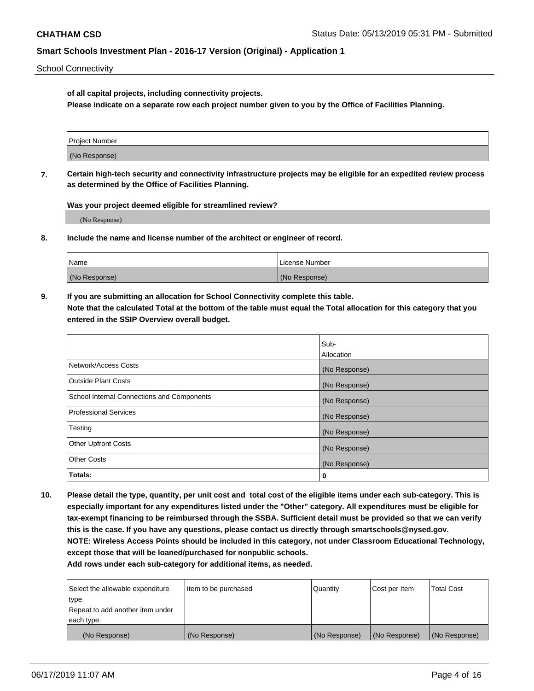School Connectivity

**of all capital projects, including connectivity projects.**

**Please indicate on a separate row each project number given to you by the Office of Facilities Planning.**

| Project Number |  |
|----------------|--|
|                |  |
|                |  |
|                |  |
| (No Response)  |  |
|                |  |
|                |  |
|                |  |

**7. Certain high-tech security and connectivity infrastructure projects may be eligible for an expedited review process as determined by the Office of Facilities Planning.**

**Was your project deemed eligible for streamlined review?**

(No Response)

**8. Include the name and license number of the architect or engineer of record.**

| Name          | License Number |
|---------------|----------------|
| (No Response) | (No Response)  |

**9. If you are submitting an allocation for School Connectivity complete this table. Note that the calculated Total at the bottom of the table must equal the Total allocation for this category that you entered in the SSIP Overview overall budget.** 

|                                            | Sub-              |
|--------------------------------------------|-------------------|
|                                            | <b>Allocation</b> |
| Network/Access Costs                       | (No Response)     |
| <b>Outside Plant Costs</b>                 | (No Response)     |
| School Internal Connections and Components | (No Response)     |
| <b>Professional Services</b>               | (No Response)     |
| Testing                                    | (No Response)     |
| <b>Other Upfront Costs</b>                 | (No Response)     |
| <b>Other Costs</b>                         | (No Response)     |
| Totals:                                    | 0                 |

**10. Please detail the type, quantity, per unit cost and total cost of the eligible items under each sub-category. This is especially important for any expenditures listed under the "Other" category. All expenditures must be eligible for tax-exempt financing to be reimbursed through the SSBA. Sufficient detail must be provided so that we can verify this is the case. If you have any questions, please contact us directly through smartschools@nysed.gov. NOTE: Wireless Access Points should be included in this category, not under Classroom Educational Technology, except those that will be loaned/purchased for nonpublic schools.**

| Select the allowable expenditure | Item to be purchased | Quantity      | Cost per Item | <b>Total Cost</b> |
|----------------------------------|----------------------|---------------|---------------|-------------------|
| type.                            |                      |               |               |                   |
| Repeat to add another item under |                      |               |               |                   |
| each type.                       |                      |               |               |                   |
| (No Response)                    | (No Response)        | (No Response) | (No Response) | (No Response)     |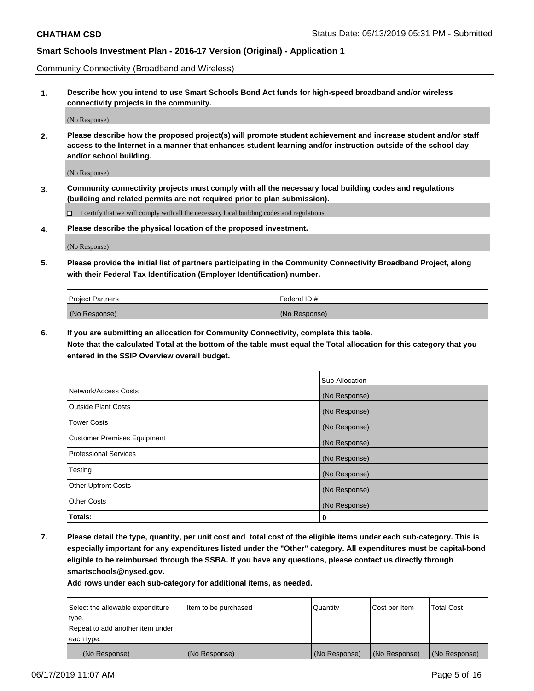Community Connectivity (Broadband and Wireless)

**1. Describe how you intend to use Smart Schools Bond Act funds for high-speed broadband and/or wireless connectivity projects in the community.**

(No Response)

**2. Please describe how the proposed project(s) will promote student achievement and increase student and/or staff access to the Internet in a manner that enhances student learning and/or instruction outside of the school day and/or school building.**

(No Response)

**3. Community connectivity projects must comply with all the necessary local building codes and regulations (building and related permits are not required prior to plan submission).**

 $\Box$  I certify that we will comply with all the necessary local building codes and regulations.

**4. Please describe the physical location of the proposed investment.**

(No Response)

**5. Please provide the initial list of partners participating in the Community Connectivity Broadband Project, along with their Federal Tax Identification (Employer Identification) number.**

| <b>Project Partners</b> | Federal ID#   |
|-------------------------|---------------|
| (No Response)           | (No Response) |

**6. If you are submitting an allocation for Community Connectivity, complete this table.**

**Note that the calculated Total at the bottom of the table must equal the Total allocation for this category that you entered in the SSIP Overview overall budget.**

|                                    | Sub-Allocation |
|------------------------------------|----------------|
| Network/Access Costs               | (No Response)  |
| <b>Outside Plant Costs</b>         | (No Response)  |
| <b>Tower Costs</b>                 | (No Response)  |
| <b>Customer Premises Equipment</b> | (No Response)  |
| <b>Professional Services</b>       | (No Response)  |
| Testing                            | (No Response)  |
| <b>Other Upfront Costs</b>         | (No Response)  |
| <b>Other Costs</b>                 | (No Response)  |
| Totals:                            | 0              |

**7. Please detail the type, quantity, per unit cost and total cost of the eligible items under each sub-category. This is especially important for any expenditures listed under the "Other" category. All expenditures must be capital-bond eligible to be reimbursed through the SSBA. If you have any questions, please contact us directly through smartschools@nysed.gov.**

| Select the allowable expenditure | Item to be purchased | Quantity      | Cost per Item | <b>Total Cost</b> |
|----------------------------------|----------------------|---------------|---------------|-------------------|
| type.                            |                      |               |               |                   |
| Repeat to add another item under |                      |               |               |                   |
| each type.                       |                      |               |               |                   |
| (No Response)                    | (No Response)        | (No Response) | (No Response) | (No Response)     |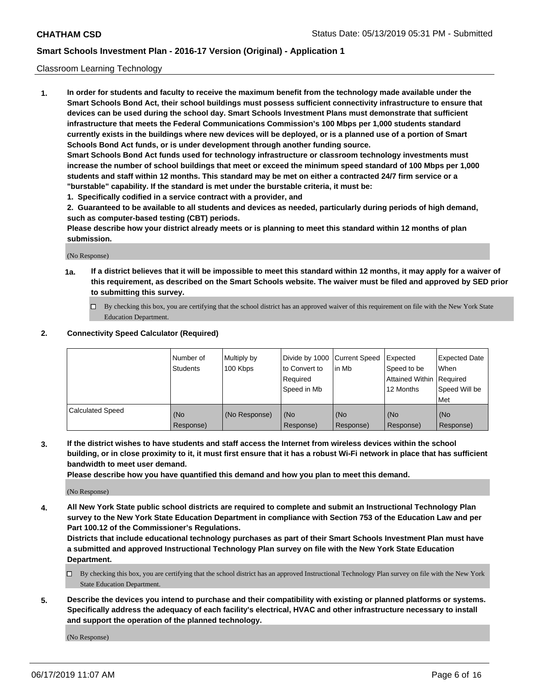### Classroom Learning Technology

**1. In order for students and faculty to receive the maximum benefit from the technology made available under the Smart Schools Bond Act, their school buildings must possess sufficient connectivity infrastructure to ensure that devices can be used during the school day. Smart Schools Investment Plans must demonstrate that sufficient infrastructure that meets the Federal Communications Commission's 100 Mbps per 1,000 students standard currently exists in the buildings where new devices will be deployed, or is a planned use of a portion of Smart Schools Bond Act funds, or is under development through another funding source. Smart Schools Bond Act funds used for technology infrastructure or classroom technology investments must increase the number of school buildings that meet or exceed the minimum speed standard of 100 Mbps per 1,000 students and staff within 12 months. This standard may be met on either a contracted 24/7 firm service or a**

**"burstable" capability. If the standard is met under the burstable criteria, it must be:**

**1. Specifically codified in a service contract with a provider, and**

**2. Guaranteed to be available to all students and devices as needed, particularly during periods of high demand, such as computer-based testing (CBT) periods.**

**Please describe how your district already meets or is planning to meet this standard within 12 months of plan submission.**

(No Response)

- **1a. If a district believes that it will be impossible to meet this standard within 12 months, it may apply for a waiver of this requirement, as described on the Smart Schools website. The waiver must be filed and approved by SED prior to submitting this survey.**
	- By checking this box, you are certifying that the school district has an approved waiver of this requirement on file with the New York State Education Department.

### **2. Connectivity Speed Calculator (Required)**

|                         | I Number of<br>Students | Multiply by<br>100 Kbps | to Convert to<br>Required<br>Speed in Mb | Divide by 1000 Current Speed Expected<br>lin Mb | Speed to be<br>Attained Within Required<br>12 Months | Expected Date<br>When<br>Speed Will be<br>Met |
|-------------------------|-------------------------|-------------------------|------------------------------------------|-------------------------------------------------|------------------------------------------------------|-----------------------------------------------|
| <b>Calculated Speed</b> | (No<br>Response)        | (No Response)           | (No<br>Response)                         | (No<br>Response)                                | (No<br>Response)                                     | (No<br>Response)                              |

**3. If the district wishes to have students and staff access the Internet from wireless devices within the school building, or in close proximity to it, it must first ensure that it has a robust Wi-Fi network in place that has sufficient bandwidth to meet user demand.**

**Please describe how you have quantified this demand and how you plan to meet this demand.**

(No Response)

**4. All New York State public school districts are required to complete and submit an Instructional Technology Plan survey to the New York State Education Department in compliance with Section 753 of the Education Law and per Part 100.12 of the Commissioner's Regulations.**

**Districts that include educational technology purchases as part of their Smart Schools Investment Plan must have a submitted and approved Instructional Technology Plan survey on file with the New York State Education Department.**

- $\Box$  By checking this box, you are certifying that the school district has an approved Instructional Technology Plan survey on file with the New York State Education Department.
- **5. Describe the devices you intend to purchase and their compatibility with existing or planned platforms or systems. Specifically address the adequacy of each facility's electrical, HVAC and other infrastructure necessary to install and support the operation of the planned technology.**

(No Response)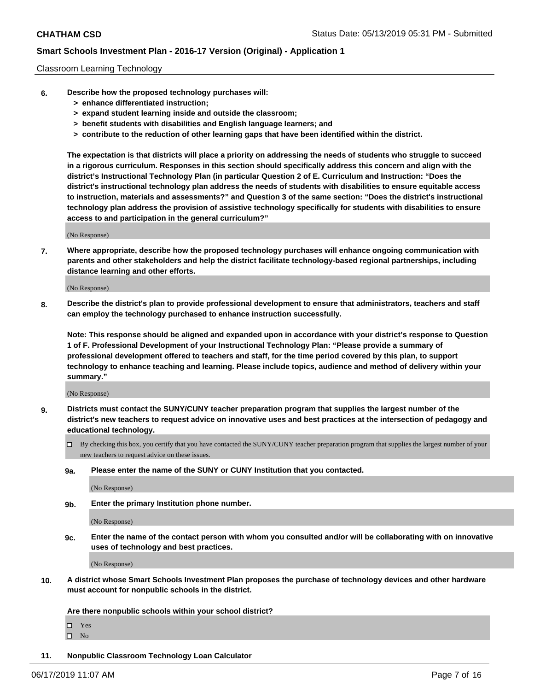### Classroom Learning Technology

- **6. Describe how the proposed technology purchases will:**
	- **> enhance differentiated instruction;**
	- **> expand student learning inside and outside the classroom;**
	- **> benefit students with disabilities and English language learners; and**
	- **> contribute to the reduction of other learning gaps that have been identified within the district.**

**The expectation is that districts will place a priority on addressing the needs of students who struggle to succeed in a rigorous curriculum. Responses in this section should specifically address this concern and align with the district's Instructional Technology Plan (in particular Question 2 of E. Curriculum and Instruction: "Does the district's instructional technology plan address the needs of students with disabilities to ensure equitable access to instruction, materials and assessments?" and Question 3 of the same section: "Does the district's instructional technology plan address the provision of assistive technology specifically for students with disabilities to ensure access to and participation in the general curriculum?"**

(No Response)

**7. Where appropriate, describe how the proposed technology purchases will enhance ongoing communication with parents and other stakeholders and help the district facilitate technology-based regional partnerships, including distance learning and other efforts.**

(No Response)

**8. Describe the district's plan to provide professional development to ensure that administrators, teachers and staff can employ the technology purchased to enhance instruction successfully.**

**Note: This response should be aligned and expanded upon in accordance with your district's response to Question 1 of F. Professional Development of your Instructional Technology Plan: "Please provide a summary of professional development offered to teachers and staff, for the time period covered by this plan, to support technology to enhance teaching and learning. Please include topics, audience and method of delivery within your summary."**

(No Response)

- **9. Districts must contact the SUNY/CUNY teacher preparation program that supplies the largest number of the district's new teachers to request advice on innovative uses and best practices at the intersection of pedagogy and educational technology.**
	- By checking this box, you certify that you have contacted the SUNY/CUNY teacher preparation program that supplies the largest number of your new teachers to request advice on these issues.
	- **9a. Please enter the name of the SUNY or CUNY Institution that you contacted.**

(No Response)

**9b. Enter the primary Institution phone number.**

(No Response)

**9c. Enter the name of the contact person with whom you consulted and/or will be collaborating with on innovative uses of technology and best practices.**

(No Response)

**10. A district whose Smart Schools Investment Plan proposes the purchase of technology devices and other hardware must account for nonpublic schools in the district.**

**Are there nonpublic schools within your school district?**

Yes

 $\square$  No

**11. Nonpublic Classroom Technology Loan Calculator**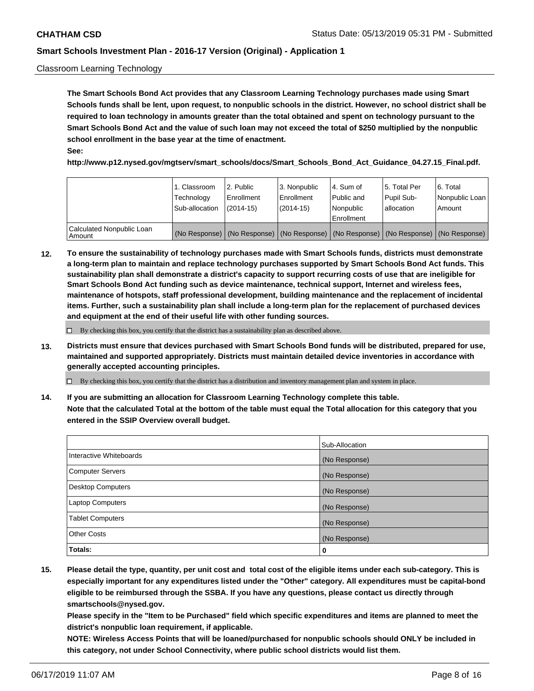### Classroom Learning Technology

**The Smart Schools Bond Act provides that any Classroom Learning Technology purchases made using Smart Schools funds shall be lent, upon request, to nonpublic schools in the district. However, no school district shall be required to loan technology in amounts greater than the total obtained and spent on technology pursuant to the Smart Schools Bond Act and the value of such loan may not exceed the total of \$250 multiplied by the nonpublic school enrollment in the base year at the time of enactment. See:**

**http://www.p12.nysed.gov/mgtserv/smart\_schools/docs/Smart\_Schools\_Bond\_Act\_Guidance\_04.27.15\_Final.pdf.**

|                                       | 1. Classroom<br>Technology<br>Sub-allocation | 2. Public<br>l Enrollment<br>(2014-15) | l 3. Nonpublic<br>l Enrollment<br>$(2014 - 15)$ | l 4. Sum of<br>l Public and<br>l Nonpublic<br>Enrollment                                      | 15. Total Per<br>Pupil Sub-<br>l allocation | l 6. Total<br>Nonpublic Loan<br>Amount |
|---------------------------------------|----------------------------------------------|----------------------------------------|-------------------------------------------------|-----------------------------------------------------------------------------------------------|---------------------------------------------|----------------------------------------|
| Calculated Nonpublic Loan<br>l Amount |                                              |                                        |                                                 | (No Response)   (No Response)   (No Response)   (No Response)   (No Response)   (No Response) |                                             |                                        |

**12. To ensure the sustainability of technology purchases made with Smart Schools funds, districts must demonstrate a long-term plan to maintain and replace technology purchases supported by Smart Schools Bond Act funds. This sustainability plan shall demonstrate a district's capacity to support recurring costs of use that are ineligible for Smart Schools Bond Act funding such as device maintenance, technical support, Internet and wireless fees, maintenance of hotspots, staff professional development, building maintenance and the replacement of incidental items. Further, such a sustainability plan shall include a long-term plan for the replacement of purchased devices and equipment at the end of their useful life with other funding sources.**

 $\Box$  By checking this box, you certify that the district has a sustainability plan as described above.

**13. Districts must ensure that devices purchased with Smart Schools Bond funds will be distributed, prepared for use, maintained and supported appropriately. Districts must maintain detailed device inventories in accordance with generally accepted accounting principles.**

By checking this box, you certify that the district has a distribution and inventory management plan and system in place.

**14. If you are submitting an allocation for Classroom Learning Technology complete this table. Note that the calculated Total at the bottom of the table must equal the Total allocation for this category that you entered in the SSIP Overview overall budget.**

|                          | Sub-Allocation |
|--------------------------|----------------|
| Interactive Whiteboards  | (No Response)  |
| <b>Computer Servers</b>  | (No Response)  |
| <b>Desktop Computers</b> | (No Response)  |
| <b>Laptop Computers</b>  | (No Response)  |
| <b>Tablet Computers</b>  | (No Response)  |
| <b>Other Costs</b>       | (No Response)  |
| Totals:                  | 0              |

**15. Please detail the type, quantity, per unit cost and total cost of the eligible items under each sub-category. This is especially important for any expenditures listed under the "Other" category. All expenditures must be capital-bond eligible to be reimbursed through the SSBA. If you have any questions, please contact us directly through smartschools@nysed.gov.**

**Please specify in the "Item to be Purchased" field which specific expenditures and items are planned to meet the district's nonpublic loan requirement, if applicable.**

**NOTE: Wireless Access Points that will be loaned/purchased for nonpublic schools should ONLY be included in this category, not under School Connectivity, where public school districts would list them.**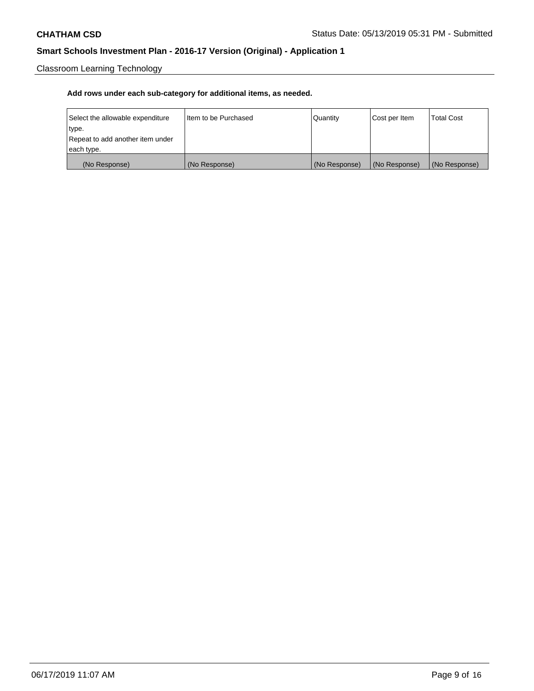Classroom Learning Technology

| Select the allowable expenditure | Iltem to be Purchased | Quantity      | Cost per Item | <b>Total Cost</b> |
|----------------------------------|-----------------------|---------------|---------------|-------------------|
| type.                            |                       |               |               |                   |
| Repeat to add another item under |                       |               |               |                   |
| each type.                       |                       |               |               |                   |
| (No Response)                    | (No Response)         | (No Response) | (No Response) | (No Response)     |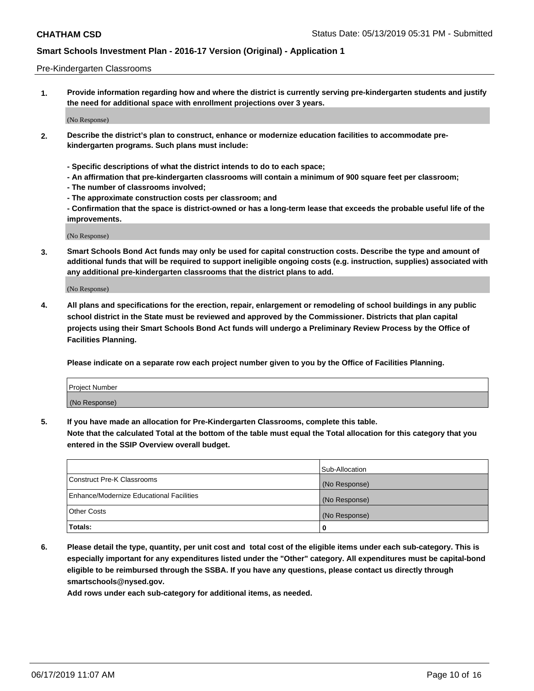### Pre-Kindergarten Classrooms

**1. Provide information regarding how and where the district is currently serving pre-kindergarten students and justify the need for additional space with enrollment projections over 3 years.**

(No Response)

- **2. Describe the district's plan to construct, enhance or modernize education facilities to accommodate prekindergarten programs. Such plans must include:**
	- **Specific descriptions of what the district intends to do to each space;**
	- **An affirmation that pre-kindergarten classrooms will contain a minimum of 900 square feet per classroom;**
	- **The number of classrooms involved;**
	- **The approximate construction costs per classroom; and**
	- **Confirmation that the space is district-owned or has a long-term lease that exceeds the probable useful life of the improvements.**

(No Response)

**3. Smart Schools Bond Act funds may only be used for capital construction costs. Describe the type and amount of additional funds that will be required to support ineligible ongoing costs (e.g. instruction, supplies) associated with any additional pre-kindergarten classrooms that the district plans to add.**

(No Response)

**4. All plans and specifications for the erection, repair, enlargement or remodeling of school buildings in any public school district in the State must be reviewed and approved by the Commissioner. Districts that plan capital projects using their Smart Schools Bond Act funds will undergo a Preliminary Review Process by the Office of Facilities Planning.**

**Please indicate on a separate row each project number given to you by the Office of Facilities Planning.**

| Project Number |  |
|----------------|--|
| (No Response)  |  |
|                |  |

**5. If you have made an allocation for Pre-Kindergarten Classrooms, complete this table.**

**Note that the calculated Total at the bottom of the table must equal the Total allocation for this category that you entered in the SSIP Overview overall budget.**

|                                          | Sub-Allocation |
|------------------------------------------|----------------|
| Construct Pre-K Classrooms               | (No Response)  |
| Enhance/Modernize Educational Facilities | (No Response)  |
| <b>Other Costs</b>                       | (No Response)  |
| Totals:                                  | 0              |

**6. Please detail the type, quantity, per unit cost and total cost of the eligible items under each sub-category. This is especially important for any expenditures listed under the "Other" category. All expenditures must be capital-bond eligible to be reimbursed through the SSBA. If you have any questions, please contact us directly through smartschools@nysed.gov.**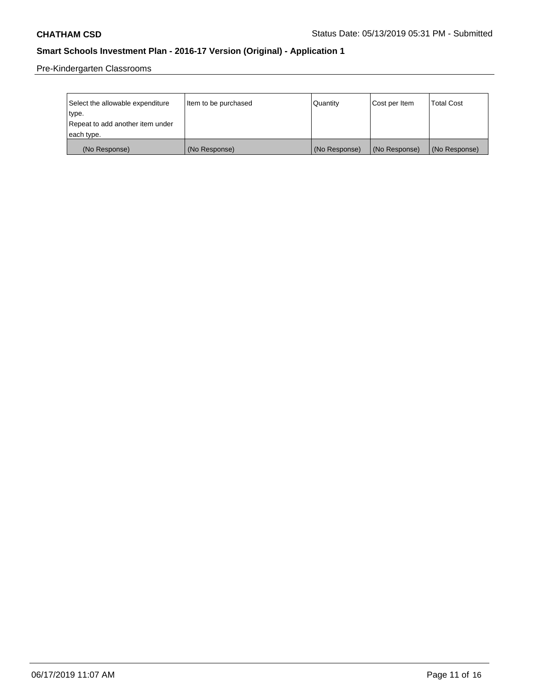Pre-Kindergarten Classrooms

| Select the allowable expenditure | Item to be purchased | Quantity      | Cost per Item | <b>Total Cost</b> |
|----------------------------------|----------------------|---------------|---------------|-------------------|
| type.                            |                      |               |               |                   |
| Repeat to add another item under |                      |               |               |                   |
| each type.                       |                      |               |               |                   |
| (No Response)                    | (No Response)        | (No Response) | (No Response) | (No Response)     |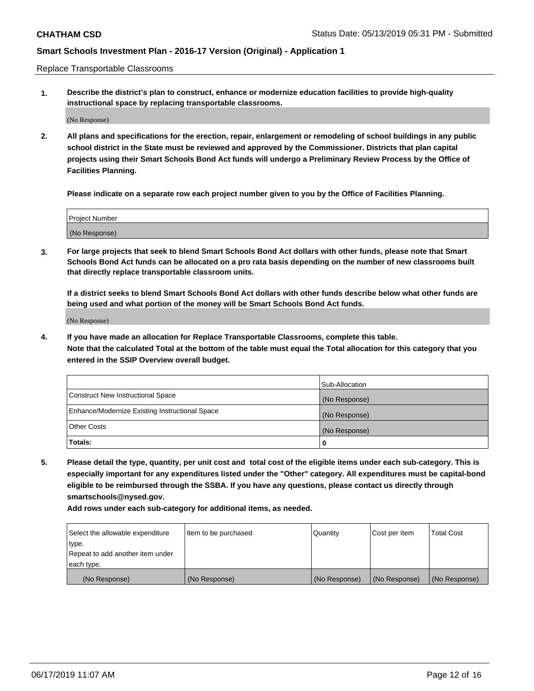Replace Transportable Classrooms

**1. Describe the district's plan to construct, enhance or modernize education facilities to provide high-quality instructional space by replacing transportable classrooms.**

(No Response)

**2. All plans and specifications for the erection, repair, enlargement or remodeling of school buildings in any public school district in the State must be reviewed and approved by the Commissioner. Districts that plan capital projects using their Smart Schools Bond Act funds will undergo a Preliminary Review Process by the Office of Facilities Planning.**

**Please indicate on a separate row each project number given to you by the Office of Facilities Planning.**

| Project Number |  |
|----------------|--|
|                |  |
|                |  |
|                |  |
|                |  |
| (No Response)  |  |
|                |  |
|                |  |
|                |  |

**3. For large projects that seek to blend Smart Schools Bond Act dollars with other funds, please note that Smart Schools Bond Act funds can be allocated on a pro rata basis depending on the number of new classrooms built that directly replace transportable classroom units.**

**If a district seeks to blend Smart Schools Bond Act dollars with other funds describe below what other funds are being used and what portion of the money will be Smart Schools Bond Act funds.**

(No Response)

**4. If you have made an allocation for Replace Transportable Classrooms, complete this table. Note that the calculated Total at the bottom of the table must equal the Total allocation for this category that you entered in the SSIP Overview overall budget.**

|                                                | Sub-Allocation |
|------------------------------------------------|----------------|
| Construct New Instructional Space              | (No Response)  |
| Enhance/Modernize Existing Instructional Space | (No Response)  |
| <b>Other Costs</b>                             | (No Response)  |
| Totals:                                        | 0              |

**5. Please detail the type, quantity, per unit cost and total cost of the eligible items under each sub-category. This is especially important for any expenditures listed under the "Other" category. All expenditures must be capital-bond eligible to be reimbursed through the SSBA. If you have any questions, please contact us directly through smartschools@nysed.gov.**

| Select the allowable expenditure | Item to be purchased | l Quantitv    | Cost per Item | <b>Total Cost</b> |
|----------------------------------|----------------------|---------------|---------------|-------------------|
| type.                            |                      |               |               |                   |
| Repeat to add another item under |                      |               |               |                   |
| each type.                       |                      |               |               |                   |
| (No Response)                    | (No Response)        | (No Response) | (No Response) | (No Response)     |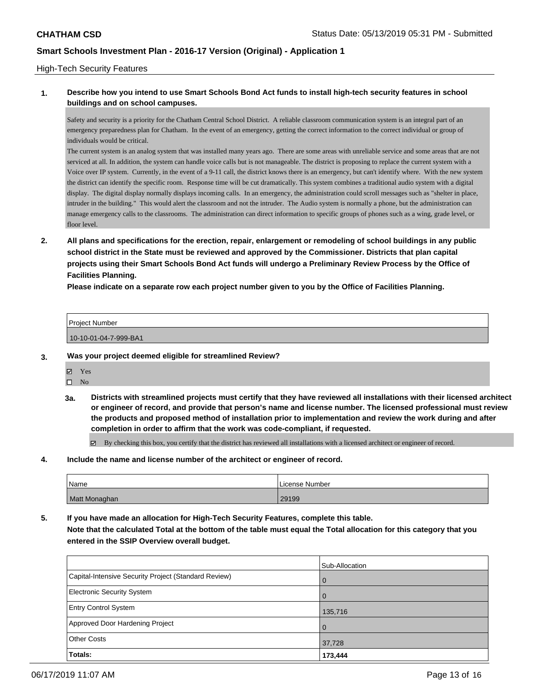### High-Tech Security Features

### **1. Describe how you intend to use Smart Schools Bond Act funds to install high-tech security features in school buildings and on school campuses.**

Safety and security is a priority for the Chatham Central School District. A reliable classroom communication system is an integral part of an emergency preparedness plan for Chatham. In the event of an emergency, getting the correct information to the correct individual or group of individuals would be critical.

The current system is an analog system that was installed many years ago. There are some areas with unreliable service and some areas that are not serviced at all. In addition, the system can handle voice calls but is not manageable. The district is proposing to replace the current system with a Voice over IP system. Currently, in the event of a 9-11 call, the district knows there is an emergency, but can't identify where. With the new system the district can identify the specific room. Response time will be cut dramatically. This system combines a traditional audio system with a digital display. The digital display normally displays incoming calls. In an emergency, the administration could scroll messages such as "shelter in place, intruder in the building." This would alert the classroom and not the intruder. The Audio system is normally a phone, but the administration can manage emergency calls to the classrooms. The administration can direct information to specific groups of phones such as a wing, grade level, or floor level.

**2. All plans and specifications for the erection, repair, enlargement or remodeling of school buildings in any public school district in the State must be reviewed and approved by the Commissioner. Districts that plan capital projects using their Smart Schools Bond Act funds will undergo a Preliminary Review Process by the Office of Facilities Planning.** 

**Please indicate on a separate row each project number given to you by the Office of Facilities Planning.**

| <b>Project Number</b> |  |
|-----------------------|--|
| 10-10-01-04-7-999-BA1 |  |

### **3. Was your project deemed eligible for streamlined Review?**

- Yes
- $\square$  No
- **3a. Districts with streamlined projects must certify that they have reviewed all installations with their licensed architect or engineer of record, and provide that person's name and license number. The licensed professional must review the products and proposed method of installation prior to implementation and review the work during and after completion in order to affirm that the work was code-compliant, if requested.**

By checking this box, you certify that the district has reviewed all installations with a licensed architect or engineer of record.

**4. Include the name and license number of the architect or engineer of record.**

| Name          | . License Number |
|---------------|------------------|
| Matt Monaghan | 29199            |

**5. If you have made an allocation for High-Tech Security Features, complete this table.**

**Note that the calculated Total at the bottom of the table must equal the Total allocation for this category that you entered in the SSIP Overview overall budget.**

|                                                      | Sub-Allocation |
|------------------------------------------------------|----------------|
| Capital-Intensive Security Project (Standard Review) | l 0            |
| Electronic Security System                           | l O            |
| <b>Entry Control System</b>                          | 135,716        |
| Approved Door Hardening Project                      | $\overline{0}$ |
| <b>Other Costs</b>                                   | 37,728         |
| Totals:                                              | 173,444        |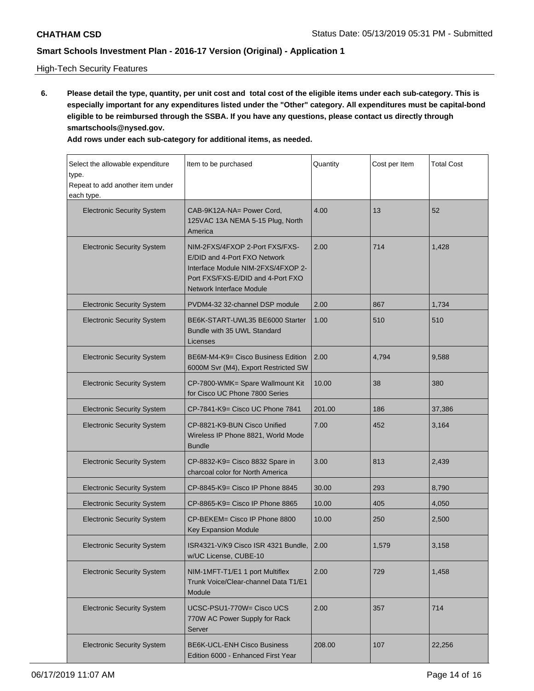## High-Tech Security Features

**6. Please detail the type, quantity, per unit cost and total cost of the eligible items under each sub-category. This is especially important for any expenditures listed under the "Other" category. All expenditures must be capital-bond eligible to be reimbursed through the SSBA. If you have any questions, please contact us directly through smartschools@nysed.gov.**

| Select the allowable expenditure<br>type.<br>Repeat to add another item under<br>each type.                     | Item to be purchased                                                                                                                                                         | Quantity | Cost per Item | <b>Total Cost</b> |
|-----------------------------------------------------------------------------------------------------------------|------------------------------------------------------------------------------------------------------------------------------------------------------------------------------|----------|---------------|-------------------|
| <b>Electronic Security System</b>                                                                               | CAB-9K12A-NA= Power Cord,<br>125VAC 13A NEMA 5-15 Plug, North<br>America                                                                                                     | 4.00     | 13            | 52                |
| <b>Electronic Security System</b>                                                                               | NIM-2FXS/4FXOP 2-Port FXS/FXS-<br>E/DID and 4-Port FXO Network<br>Interface Module NIM-2FXS/4FXOP 2-<br>Port FXS/FXS-E/DID and 4-Port FXO<br><b>Network Interface Module</b> | 2.00     | 714           | 1,428             |
| <b>Electronic Security System</b>                                                                               | PVDM4-32 32-channel DSP module                                                                                                                                               | 2.00     | 867           | 1,734             |
| <b>Electronic Security System</b>                                                                               | BE6K-START-UWL35 BE6000 Starter<br>Bundle with 35 UWL Standard<br>Licenses                                                                                                   | 1.00     | 510           | 510               |
| <b>Electronic Security System</b><br>BE6M-M4-K9= Cisco Business Edition<br>6000M Svr (M4), Export Restricted SW |                                                                                                                                                                              | 2.00     | 4,794         | 9,588             |
| <b>Electronic Security System</b>                                                                               | CP-7800-WMK= Spare Wallmount Kit<br>for Cisco UC Phone 7800 Series                                                                                                           | 10.00    | 38            | 380               |
| <b>Electronic Security System</b>                                                                               | CP-7841-K9= Cisco UC Phone 7841                                                                                                                                              | 201.00   | 186           | 37,386            |
| <b>Electronic Security System</b>                                                                               | CP-8821-K9-BUN Cisco Unified<br>Wireless IP Phone 8821, World Mode<br><b>Bundle</b>                                                                                          | 7.00     | 452           | 3,164             |
| <b>Electronic Security System</b>                                                                               | CP-8832-K9= Cisco 8832 Spare in<br>charcoal color for North America                                                                                                          | 3.00     | 813           | 2,439             |
| <b>Electronic Security System</b>                                                                               | CP-8845-K9= Cisco IP Phone 8845                                                                                                                                              | 30.00    | 293           | 8,790             |
| <b>Electronic Security System</b>                                                                               | CP-8865-K9= Cisco IP Phone 8865                                                                                                                                              | 10.00    | 405           | 4,050             |
| CP-BEKEM= Cisco IP Phone 8800<br><b>Electronic Security System</b><br><b>Key Expansion Module</b>               |                                                                                                                                                                              | 10.00    | 250           | 2,500             |
| ISR4321-V/K9 Cisco ISR 4321 Bundle,<br><b>Electronic Security System</b><br>w/UC License, CUBE-10               |                                                                                                                                                                              | 2.00     | 1,579         | 3,158             |
| <b>Electronic Security System</b>                                                                               | NIM-1MFT-T1/E1 1 port Multiflex<br>Trunk Voice/Clear-channel Data T1/E1<br>Module                                                                                            | 2.00     | 729           | 1,458             |
| <b>Electronic Security System</b>                                                                               | UCSC-PSU1-770W= Cisco UCS<br>770W AC Power Supply for Rack<br>Server                                                                                                         | 2.00     | 357           | 714               |
| <b>Electronic Security System</b>                                                                               | <b>BE6K-UCL-ENH Cisco Business</b><br>Edition 6000 - Enhanced First Year                                                                                                     | 208.00   | 107           | 22,256            |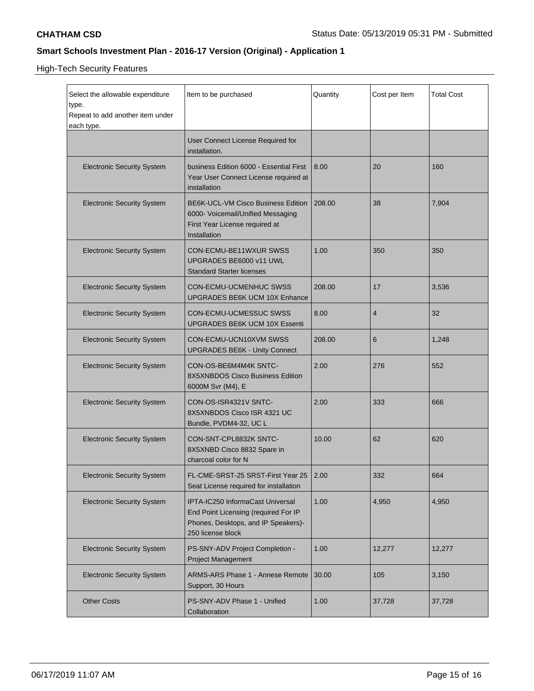High-Tech Security Features

| Select the allowable expenditure<br>type.<br>Repeat to add another item under<br>each type. | Item to be purchased                                                                                                                 | Quantity | Cost per Item | <b>Total Cost</b> |
|---------------------------------------------------------------------------------------------|--------------------------------------------------------------------------------------------------------------------------------------|----------|---------------|-------------------|
|                                                                                             | User Connect License Required for<br>installation.                                                                                   |          |               |                   |
| <b>Electronic Security System</b>                                                           | business Edition 6000 - Essential First<br>Year User Connect License required at<br>installation                                     | 8.00     | 20            | 160               |
| <b>Electronic Security System</b>                                                           | BE6K-UCL-VM Cisco Business Edition<br>6000- Voicemail/Unified Messaging<br>First Year License required at<br>Installation            | 208.00   | 38            | 7,904             |
| <b>Electronic Security System</b>                                                           | CON-ECMU-BE11WXUR SWSS<br>UPGRADES BE6000 v11 UWL<br><b>Standard Starter licenses</b>                                                | 1.00     | 350           | 350               |
| <b>Electronic Security System</b>                                                           | CON-ECMU-UCMENHUC SWSS<br>UPGRADES BE6K UCM 10X Enhance                                                                              | 208.00   | 17            | 3,536             |
| <b>Electronic Security System</b>                                                           | CON-ECMU-UCMESSUC SWSS<br><b>UPGRADES BE6K UCM 10X Essenti</b>                                                                       | 8.00     | 4             | 32                |
| <b>Electronic Security System</b>                                                           | CON-ECMU-UCN10XVM SWSS<br><b>UPGRADES BE6K - Unity Connect</b>                                                                       | 208.00   | 6             | 1,248             |
| <b>Electronic Security System</b>                                                           | CON-OS-BE6M4M4K SNTC-<br>8X5XNBDOS Cisco Business Edition<br>6000M Svr (M4), E                                                       | 2.00     | 276           | 552               |
| <b>Electronic Security System</b>                                                           | CON-OS-ISR4321V SNTC-<br>8X5XNBDOS Cisco ISR 4321 UC<br>Bundle, PVDM4-32, UC L                                                       | 2.00     | 333           | 666               |
| <b>Electronic Security System</b>                                                           | CON-SNT-CPL8832K SNTC-<br>8X5XNBD Cisco 8832 Spare in<br>charcoal color for N                                                        | 10.00    | 62            | 620               |
| <b>Electronic Security System</b>                                                           | FL-CME-SRST-25 SRST-First Year 25<br>Seat License required for installation                                                          | 2.00     | 332           | 664               |
| <b>Electronic Security System</b>                                                           | IPTA-IC250 InformaCast Universal<br>End Point Licensing (required For IP<br>Phones, Desktops, and IP Speakers)-<br>250 license block | 1.00     | 4,950         | 4,950             |
| <b>Electronic Security System</b>                                                           | PS-SNY-ADV Project Completion -<br><b>Project Management</b>                                                                         | 1.00     | 12,277        | 12,277            |
| <b>Electronic Security System</b>                                                           | <b>ARMS-ARS Phase 1 - Annese Remote</b><br>Support, 30 Hours                                                                         | 30.00    | 105           | 3,150             |
| <b>Other Costs</b>                                                                          | PS-SNY-ADV Phase 1 - Unified<br>Collaboration                                                                                        | 1.00     | 37,728        | 37,728            |